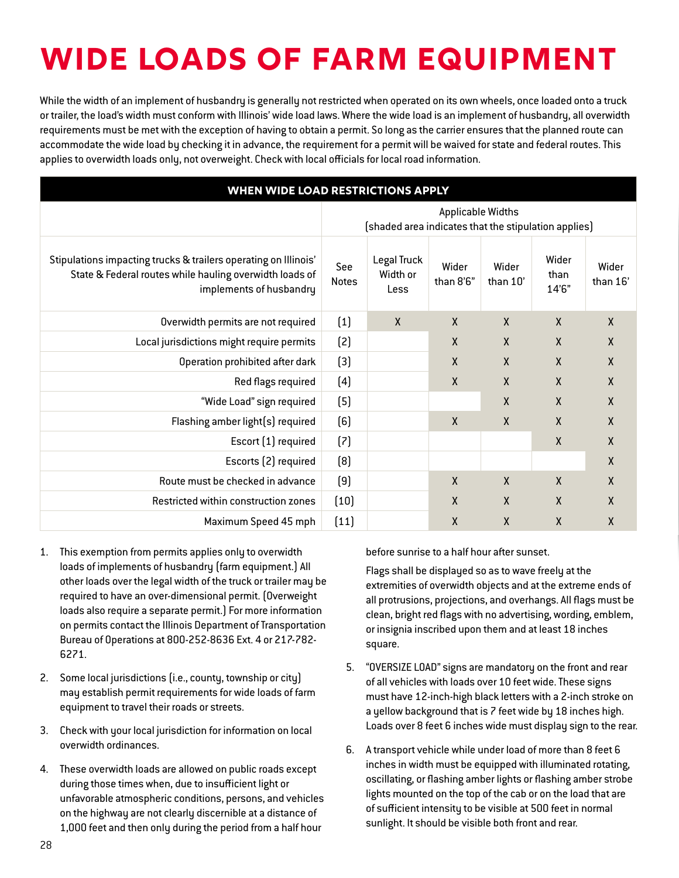## **Wide Loads of Farm Equipment**

While the width of an implement of husbandry is generally not restricted when operated on its own wheels, once loaded onto a truck or trailer, the load's width must conform with Illinois' wide load laws. Where the wide load is an implement of husbandry, all overwidth requirements must be met with the exception of having to obtain a permit. So long as the carrier ensures that the planned route can accommodate the wide load by checking it in advance, the requirement for a permit will be waived for state and federal routes. This applies to overwidth loads only, not overweight. Check with local officials for local road information.

| WHEN WIDE LOAD RESTRICTIONS APPLY                                                                                                                     |                                                                                  |                                 |                    |                   |                        |                   |
|-------------------------------------------------------------------------------------------------------------------------------------------------------|----------------------------------------------------------------------------------|---------------------------------|--------------------|-------------------|------------------------|-------------------|
|                                                                                                                                                       | <b>Applicable Widths</b><br>[shaded area indicates that the stipulation applies] |                                 |                    |                   |                        |                   |
| Stipulations impacting trucks & trailers operating on Illinois'<br>State & Federal routes while hauling overwidth loads of<br>implements of husbandry | See<br><b>Notes</b>                                                              | Legal Truck<br>Width or<br>Less | Wider<br>than 8'6" | Wider<br>than 10' | Wider<br>than<br>14'6" | Wider<br>than 16' |
| Overwidth permits are not required                                                                                                                    | $(1)$                                                                            | $\mathsf{X}$                    | $\boldsymbol{X}$   | X                 | $\mathsf{X}$           | $\mathsf{X}$      |
| Local jurisdictions might require permits                                                                                                             | [2]                                                                              |                                 | χ                  | X                 | $\mathsf{X}$           | $\mathsf{x}$      |
| Operation prohibited after dark                                                                                                                       | $[3]$                                                                            |                                 | Χ                  | X                 | $\mathsf{X}$           | $\mathsf{X}$      |
| Red flags required                                                                                                                                    | (4)                                                                              |                                 | $\mathsf{X}$       | X                 | $\mathsf{X}$           | $\mathsf{X}$      |
| "Wide Load" sign required                                                                                                                             | (5)                                                                              |                                 |                    | $\pmb{\chi}$      | X                      | $\sf X$           |
| Flashing amber light(s) required                                                                                                                      | (6)                                                                              |                                 | $\mathsf{X}$       | $\mathsf{X}$      | $\mathsf{X}$           | X                 |
| Escort (1) required                                                                                                                                   | (7)                                                                              |                                 |                    |                   | $\mathsf{X}$           | $\boldsymbol{X}$  |
| Escorts (2) required                                                                                                                                  | [8]                                                                              |                                 |                    |                   |                        | $\mathsf{X}$      |
| Route must be checked in advance                                                                                                                      | (9)                                                                              |                                 | $\boldsymbol{X}$   | X                 | $\mathsf{X}$           | $\boldsymbol{X}$  |
| Restricted within construction zones                                                                                                                  | (10)                                                                             |                                 | χ                  | X                 | $\mathsf{X}$           | $\boldsymbol{X}$  |
| Maximum Speed 45 mph                                                                                                                                  | (11)                                                                             |                                 | Χ                  | X                 | $\mathsf{X}$           | χ                 |

- 1. This exemption from permits applies only to overwidth loads of implements of husbandry (farm equipment.) All other loads over the legal width of the truck or trailer may be required to have an over-dimensional permit. (Overweight loads also require a separate permit.) For more information on permits contact the Illinois Department of Transportation Bureau of Operations at 800-252-8636 Ext. 4 or 217-782- 6271.
- 2. Some local jurisdictions (i.e., county, township or city) may establish permit requirements for wide loads of farm equipment to travel their roads or streets.
- 3. Check with your local jurisdiction for information on local overwidth ordinances.
- 4. These overwidth loads are allowed on public roads except during those times when, due to insufficient light or unfavorable atmospheric conditions, persons, and vehicles on the highway are not clearly discernible at a distance of 1,000 feet and then only during the period from a half hour

before sunrise to a half hour after sunset.

Flags shall be displayed so as to wave freely at the extremities of overwidth objects and at the extreme ends of all protrusions, projections, and overhangs. All flags must be clean, bright red flags with no advertising, wording, emblem, or insignia inscribed upon them and at least 18 inches square.

- 5. "OVERSIZE LOAD" signs are mandatory on the front and rear of all vehicles with loads over 10 feet wide. These signs must have 12-inch-high black letters with a 2-inch stroke on a yellow background that is 7 feet wide by 18 inches high. Loads over 8 feet 6 inches wide must display sign to the rear.
- 6. A transport vehicle while under load of more than 8 feet 6 inches in width must be equipped with illuminated rotating, oscillating, or flashing amber lights or flashing amber strobe lights mounted on the top of the cab or on the load that are of sufficient intensity to be visible at 500 feet in normal sunlight. It should be visible both front and rear.